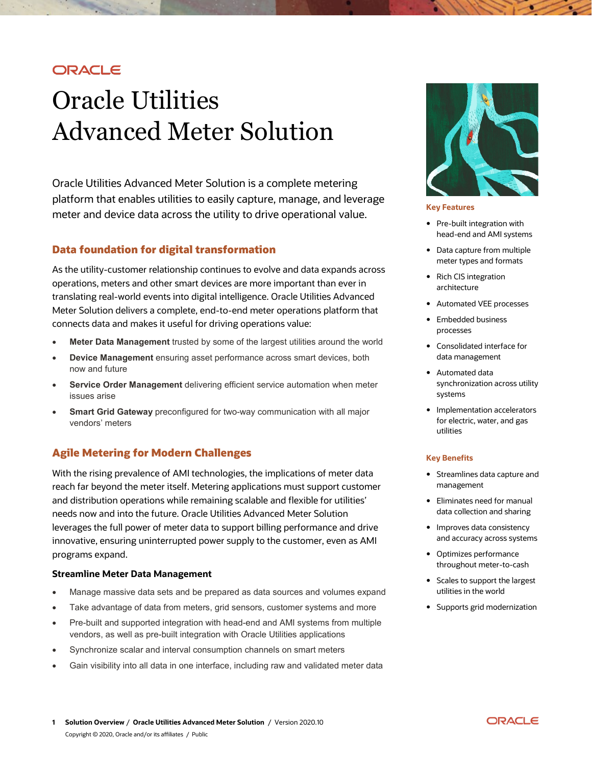# ORACLE

# Oracle Utilities Advanced Meter Solution

Oracle Utilities Advanced Meter Solution is a complete metering platform that enables utilities to easily capture, manage, and leverage meter and device data across the utility to drive operational value.

### **Data foundation for digital transformation**

As the utility-customer relationship continues to evolve and data expands across operations, meters and other smart devices are more important than ever in translating real-world events into digital intelligence. Oracle Utilities Advanced Meter Solution delivers a complete, end-to-end meter operations platform that connects data and makes it useful for driving operations value:

- **Meter Data Management** trusted by some of the largest utilities around the world
- **Device Management** ensuring asset performance across smart devices, both now and future
- **Service Order Management** delivering efficient service automation when meter issues arise
- **Smart Grid Gateway** preconfigured for two-way communication with all major vendors' meters

## **Agile Metering for Modern Challenges**

With the rising prevalence of AMI technologies, the implications of meter data reach far beyond the meter itself. Metering applications must support customer and distribution operations while remaining scalable and flexible for utilities' needs now and into the future. Oracle Utilities Advanced Meter Solution leverages the full power of meter data to support billing performance and drive innovative, ensuring uninterrupted power supply to the customer, even as AMI programs expand.

#### **Streamline Meter Data Management**

- Manage massive data sets and be prepared as data sources and volumes expand
- Take advantage of data from meters, grid sensors, customer systems and more
- Pre-built and supported integration with head-end and AMI systems from multiple vendors, as well as pre-built integration with Oracle Utilities applications
- Synchronize scalar and interval consumption channels on smart meters
- Gain visibility into all data in one interface, including raw and validated meter data



#### **Key Features**

- Pre-built integration with head-end and AMI systems
- Data capture from multiple meter types and formats
- Rich CIS integration architecture
- Automated VEE processes
- Embedded business processes
- Consolidated interface for data management
- Automated data synchronization across utility systems
- Implementation accelerators for electric, water, and gas utilities

#### **Key Benefits**

- Streamlines data capture and management
- Eliminates need for manual data collection and sharing
- Improves data consistency and accuracy across systems
- Optimizes performance throughout meter-to-cash
- Scales to support the largest utilities in the world
- Supports grid modernization